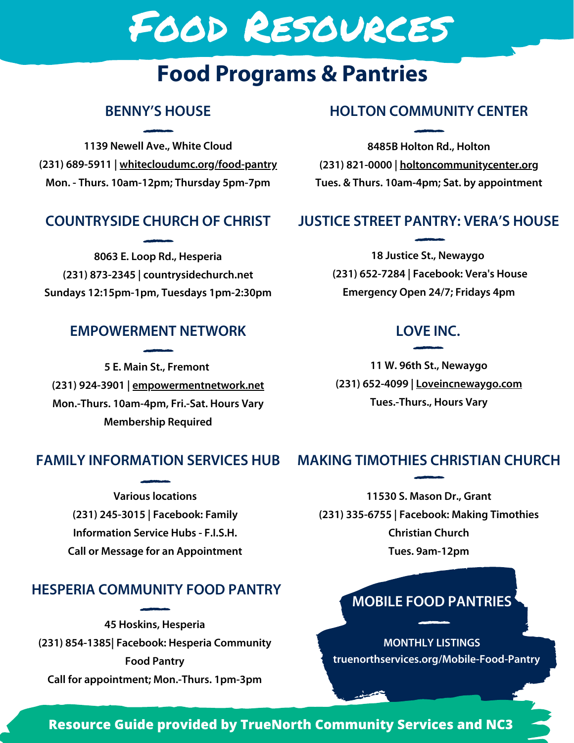# Food Resources

# **Food Programs & Pantries**

# **BENNY'S HOUSE**

**1139 Newell Ave., White Cloud (231) 689-5911 | whitecloudumc.org/food-pantry Mon. - Thurs. 10am-12pm; Thursday 5pm-7pm**

## **COUNTRYSIDE CHURCH OF CHRIST**

**8063 E. Loop Rd., Hesperia (231) 873-2345 | countrysidechurch.net Sundays 12:15pm-1pm, Tuesdays 1pm-2:30pm**

#### **EMPOWERMENT NETWORK**

**5 E. Main St., Fremont (231) 924-3901 | empowermentnetwork.net Mon.-Thurs. 10am-4pm, Fri.-Sat. Hours Vary Membership Required**

# **HOLTON COMMUNITY CENTER**

**8485B Holton Rd., Holton (231) 821-0000 | holtoncommunitycenter.org Tues. & Thurs. 10am-4pm; Sat. by appointment**

## **JUSTICE STREET PANTRY: VERA'S HOUSE**

**18 Justice St., Newaygo (231) 652-7284 | Facebook: Vera's House Emergency Open 24/7; Fridays 4pm**

## **LOVE INC.**

**11 W. 96th St., Newaygo (231) 652-4099 | Loveincnewaygo.com Tues.-Thurs., Hours Vary**

#### **FAMILY INFORMATION SERVICES HUB**

**Various locations (231) 245-3015 | Facebook: Family Information Service Hubs - F.I.S.H. Call or Message for an Appointment**

#### **HESPERIA COMMUNITY FOOD PANTRY**

**45 Hoskins, Hesperia (231) 854-1385| Facebook: Hesperia Community Food Pantry Call for appointment; Mon.-Thurs. 1pm-3pm**

# **MAKING TIMOTHIES CHRISTIAN CHURCH**

**11530 S. Mason Dr., Grant (231) 335-6755 | Facebook: Making Timothies Christian Church Tues. 9am-12pm**

# **MOBILE FOOD PANTRIES**

**truenorthservices.org/Mobile-Food-Pantry MONTHLY LISTINGS**

#### **Resource Guide provided by TrueNorth Community Services and NC3**